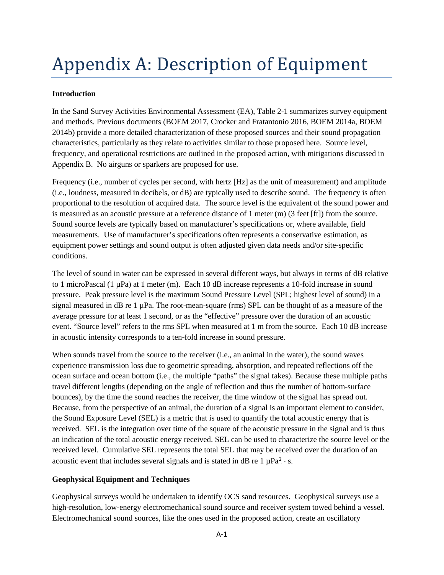# Appendix A: Description of Equipment

## **Introduction**

In the Sand Survey Activities Environmental Assessment (EA), Table 2-1 summarizes survey equipment and methods. Previous documents (BOEM 2017, Crocker and Fratantonio 2016, BOEM 2014a, BOEM 2014b) provide a more detailed characterization of these proposed sources and their sound propagation characteristics, particularly as they relate to activities similar to those proposed here. Source level, frequency, and operational restrictions are outlined in the proposed action, with mitigations discussed in Appendix B. No airguns or sparkers are proposed for use.

Frequency (i.e., number of cycles per second, with hertz [Hz] as the unit of measurement) and amplitude (i.e., loudness, measured in decibels, or dB) are typically used to describe sound. The frequency is often proportional to the resolution of acquired data. The source level is the equivalent of the sound power and is measured as an acoustic pressure at a reference distance of 1 meter (m) (3 feet [ft]) from the source. Sound source levels are typically based on manufacturer's specifications or, where available, field measurements. Use of manufacturer's specifications often represents a conservative estimation, as equipment power settings and sound output is often adjusted given data needs and/or site-specific conditions.

The level of sound in water can be expressed in several different ways, but always in terms of dB relative to 1 microPascal (1 µPa) at 1 meter (m). Each 10 dB increase represents a 10-fold increase in sound pressure. Peak pressure level is the maximum Sound Pressure Level (SPL; highest level of sound) in a signal measured in dB re  $1 \mu Pa$ . The root-mean-square (rms) SPL can be thought of as a measure of the average pressure for at least 1 second, or as the "effective" pressure over the duration of an acoustic event. "Source level" refers to the rms SPL when measured at 1 m from the source. Each 10 dB increase in acoustic intensity corresponds to a ten-fold increase in sound pressure.

When sounds travel from the source to the receiver (i.e., an animal in the water), the sound waves experience transmission loss due to geometric spreading, absorption, and repeated reflections off the ocean surface and ocean bottom (i.e., the multiple "paths" the signal takes). Because these multiple paths travel different lengths (depending on the angle of reflection and thus the number of bottom-surface bounces), by the time the sound reaches the receiver, the time window of the signal has spread out. Because, from the perspective of an animal, the duration of a signal is an important element to consider, the Sound Exposure Level (SEL) is a metric that is used to quantify the total acoustic energy that is received. SEL is the integration over time of the square of the acoustic pressure in the signal and is thus an indication of the total acoustic energy received. SEL can be used to characterize the source level or the received level. Cumulative SEL represents the total SEL that may be received over the duration of an acoustic event that includes several signals and is stated in dB re  $1 \mu Pa^2 \cdot s$ .

## **Geophysical Equipment and Techniques**

Geophysical surveys would be undertaken to identify OCS sand resources. Geophysical surveys use a high-resolution, low-energy electromechanical sound source and receiver system towed behind a vessel. Electromechanical sound sources, like the ones used in the proposed action, create an oscillatory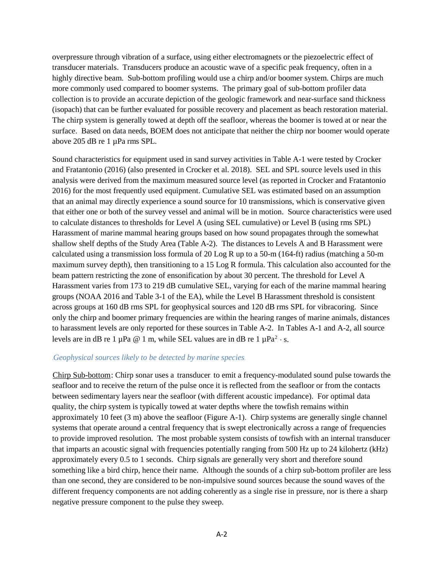overpressure through vibration of a surface, using either electromagnets or the piezoelectric effect of transducer materials. Transducers produce an acoustic wave of a specific peak frequency, often in a highly directive beam. Sub-bottom profiling would use a chirp and/or boomer system. Chirps are much more commonly used compared to boomer systems. The primary goal of sub-bottom profiler data collection is to provide an accurate depiction of the geologic framework and near-surface sand thickness (isopach) that can be further evaluated for possible recovery and placement as beach restoration material. The chirp system is generally towed at depth off the seafloor, whereas the boomer is towed at or near the surface. Based on data needs, BOEM does not anticipate that neither the chirp nor boomer would operate above 205 dB re 1 µPa rms SPL.

Sound characteristics for equipment used in sand survey activities in Table A-1 were tested by Crocker and Fratantonio (2016) (also presented in Crocker et al. 2018). SEL and SPL source levels used in this analysis were derived from the maximum measured source level (as reported in Crocker and Fratantonio 2016) for the most frequently used equipment. Cumulative SEL was estimated based on an assumption that an animal may directly experience a sound source for 10 transmissions, which is conservative given that either one or both of the survey vessel and animal will be in motion. Source characteristics were used to calculate distances to thresholds for Level A (using SEL cumulative) or Level B (using rms SPL) Harassment of marine mammal hearing groups based on how sound propagates through the somewhat shallow shelf depths of the Study Area (Table A-2). The distances to Levels A and B Harassment were calculated using a transmission loss formula of 20 Log R up to a 50-m (164-ft) radius (matching a 50-m maximum survey depth), then transitioning to a 15 Log R formula. This calculation also accounted for the beam pattern restricting the zone of ensonification by about 30 percent. The threshold for Level A Harassment varies from 173 to 219 dB cumulative SEL, varying for each of the marine mammal hearing groups (NOAA 2016 and Table 3-1 of the EA), while the Level B Harassment threshold is consistent across groups at 160 dB rms SPL for geophysical sources and 120 dB rms SPL for vibracoring. Since only the chirp and boomer primary frequencies are within the hearing ranges of marine animals, distances to harassment levels are only reported for these sources in Table A-2. In Tables A-1 and A-2, all source levels are in dB re 1 µPa @ 1 m, while SEL values are in dB re 1 µPa<sup>2</sup> · s.

#### **Geophysical sources likely to be detected by marine species.**

Chirp Sub-bottom: Chirp sonar uses a transducer to emit a frequency-modulated sound pulse towards the seafloor and to receive the return of the pulse once it is reflected from the seafloor or from the contacts between sedimentary layers near the seafloor (with different acoustic impedance). For optimal data quality, the chirp system is typically towed at water depths where the towfish remains within approximately 10 feet (3 m) above the seafloor (Figure A-1). Chirp systems are generally single channel systems that operate around a central frequency that is swept electronically across a range of frequencies to provide improved resolution. The most probable system consists of towfish with an internal transducer that imparts an acoustic signal with frequencies potentially ranging from 500 Hz up to 24 kilohertz (kHz) approximately every 0.5 to 1 seconds. Chirp signals are generally very short and therefore sound something like a bird chirp, hence their name. Although the sounds of a chirp sub-bottom profiler are less than one second, they are considered to be non-impulsive sound sources because the sound waves of the different frequency components are not adding coherently as a single rise in pressure, nor is there a sharp negative pressure component to the pulse they sweep.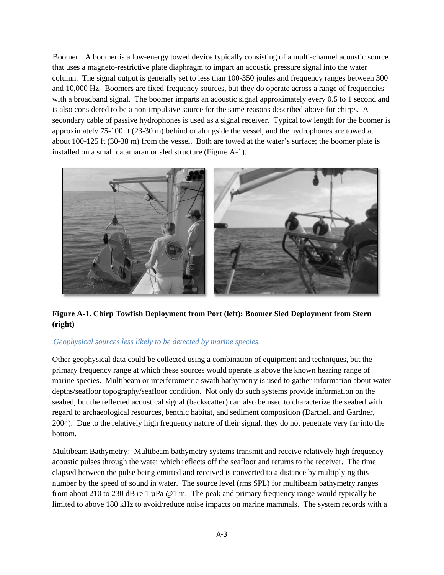Boomer: A boomer is a low-energy towed device typically consisting of a multi-channel acoustic source that uses a magneto-restrictive plate diaphragm to impart an acoustic pressure signal into the water column. The signal output is generally set to less than 100-350 joules and frequency ranges between 300 and 10,000 Hz. Boomers are fixed-frequency sources, but they do operate across a range of frequencies with a broadband signal. The boomer imparts an acoustic signal approximately every 0.5 to 1 second and is also considered to be a non-impulsive source for the same reasons described above for chirps. A secondary cable of passive hydrophones is used as a signal receiver. Typical tow length for the boomer is approximately 75-100 ft (23-30 m) behind or alongside the vessel, and the hydrophones are towed at about 100-125 ft (30-38 m) from the vessel. Both are towed at the water's surface; the boomer plate is installed on a small catamaran or sled structure (Figure A-1).



**Figure A-1. Chirp Towfish Deployment from Port (left); Boomer Sled Deployment from Stern (right)** 

## 363 Geophysical sources less likely to be detected by marine species.

Other geophysical data could be collected using a combination of equipment and techniques, but the primary frequency range at which these sources would operate is above the known hearing range of marine species. Multibeam or interferometric swath bathymetry is used to gather information about water depths/seafloor topography/seafloor condition. Not only do such systems provide information on the seabed, but the reflected acoustical signal (backscatter) can also be used to characterize the seabed with regard to archaeological resources, benthic habitat, and sediment composition (Dartnell and Gardner, 2004). Due to the relatively high frequency nature of their signal, they do not penetrate very far into the bottom.

Multibeam Bathymetry: Multibeam bathymetry systems transmit and receive relatively high frequency acoustic pulses through the water which reflects off the seafloor and returns to the receiver. The time elapsed between the pulse being emitted and received is converted to a distance by multiplying this number by the speed of sound in water. The source level (rms SPL) for multibeam bathymetry ranges from about 210 to 230 dB re 1  $\mu$ Pa @1 m. The peak and primary frequency range would typically be limited to above 180 kHz to avoid/reduce noise impacts on marine mammals. The system records with a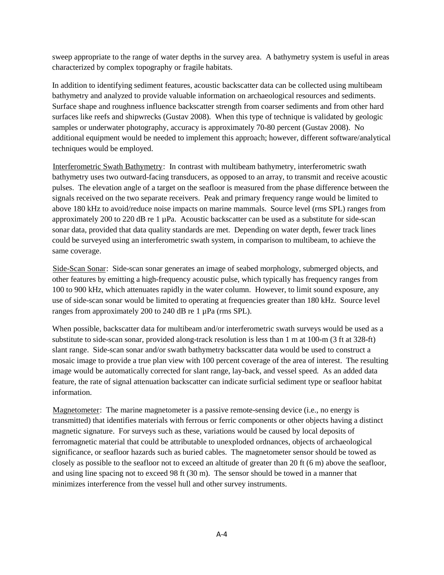sweep appropriate to the range of water depths in the survey area. A bathymetry system is useful in areas characterized by complex topography or fragile habitats.

In addition to identifying sediment features, acoustic backscatter data can be collected using multibeam bathymetry and analyzed to provide valuable information on archaeological resources and sediments. Surface shape and roughness influence backscatter strength from coarser sediments and from other hard surfaces like reefs and shipwrecks (Gustav 2008). When this type of technique is validated by geologic samples or underwater photography, accuracy is approximately 70-80 percent (Gustav 2008). No additional equipment would be needed to implement this approach; however, different software/analytical techniques would be employed.

Interferometric Swath Bathymetry: In contrast with multibeam bathymetry, interferometric swath bathymetry uses two outward-facing transducers, as opposed to an array, to transmit and receive acoustic pulses. The elevation angle of a target on the seafloor is measured from the phase difference between the signals received on the two separate receivers. Peak and primary frequency range would be limited to above 180 kHz to avoid/reduce noise impacts on marine mammals. Source level (rms SPL) ranges from approximately 200 to 220 dB re  $1 \mu$ Pa. Acoustic backscatter can be used as a substitute for side-scan sonar data, provided that data quality standards are met. Depending on water depth, fewer track lines could be surveyed using an interferometric swath system, in comparison to multibeam, to achieve the same coverage.

Side-Scan Sonar: Side-scan sonar generates an image of seabed morphology, submerged objects, and other features by emitting a high-frequency acoustic pulse, which typically has frequency ranges from 100 to 900 kHz, which attenuates rapidly in the water column. However, to limit sound exposure, any use of side-scan sonar would be limited to operating at frequencies greater than 180 kHz. Source level ranges from approximately 200 to 240 dB re 1 µPa (rms SPL).

When possible, backscatter data for multibeam and/or interferometric swath surveys would be used as a substitute to side-scan sonar, provided along-track resolution is less than 1 m at 100-m (3 ft at 328-ft) slant range. Side-scan sonar and/or swath bathymetry backscatter data would be used to construct a mosaic image to provide a true plan view with 100 percent coverage of the area of interest. The resulting image would be automatically corrected for slant range, lay-back, and vessel speed. As an added data feature, the rate of signal attenuation backscatter can indicate surficial sediment type or seafloor habitat information.

Magnetometer: The marine magnetometer is a passive remote-sensing device (i.e., no energy is transmitted) that identifies materials with ferrous or ferric components or other objects having a distinct magnetic signature. For surveys such as these, variations would be caused by local deposits of ferromagnetic material that could be attributable to unexploded ordnances, objects of archaeological significance, or seafloor hazards such as buried cables. The magnetometer sensor should be towed as closely as possible to the seafloor not to exceed an altitude of greater than 20 ft (6 m) above the seafloor, and using line spacing not to exceed 98 ft (30 m). The sensor should be towed in a manner that minimizes interference from the vessel hull and other survey instruments.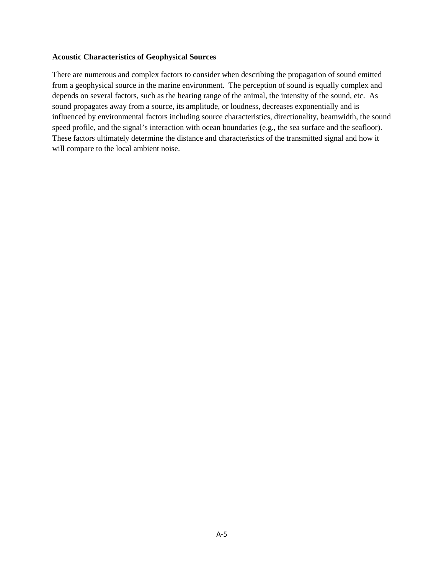#### **Acoustic Characteristics of Geophysical Sources**

There are numerous and complex factors to consider when describing the propagation of sound emitted from a geophysical source in the marine environment. The perception of sound is equally complex and depends on several factors, such as the hearing range of the animal, the intensity of the sound, etc. As sound propagates away from a source, its amplitude, or loudness, decreases exponentially and is influenced by environmental factors including source characteristics, directionality, beamwidth, the sound speed profile, and the signal's interaction with ocean boundaries (e.g., the sea surface and the seafloor). These factors ultimately determine the distance and characteristics of the transmitted signal and how it will compare to the local ambient noise.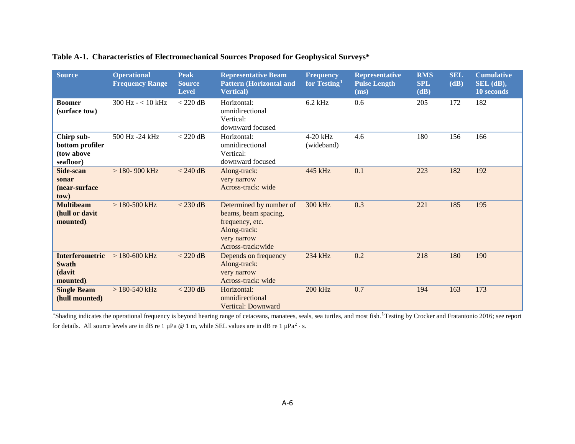| <b>Source</b>                                                | <b>Operational</b><br><b>Frequency Range</b> | <b>Peak</b><br><b>Source</b><br><b>Level</b> | <b>Representative Beam</b><br><b>Pattern (Horizontal and</b><br><b>Vertical</b> )                                       | <b>Frequency</b><br>for Testing <sup>1</sup> | <b>Representative</b><br><b>Pulse Length</b><br>(ms) | <b>RMS</b><br><b>SPL</b><br>(dB) | <b>SEL</b><br>(dB) | <b>Cumulative</b><br>$SEL$ (dB),<br>10 seconds |
|--------------------------------------------------------------|----------------------------------------------|----------------------------------------------|-------------------------------------------------------------------------------------------------------------------------|----------------------------------------------|------------------------------------------------------|----------------------------------|--------------------|------------------------------------------------|
| <b>Boomer</b><br>(surface tow)                               | $300$ Hz $- < 10$ kHz                        | $<$ 220 dB                                   | Horizontal:<br>omnidirectional<br>Vertical:<br>downward focused                                                         | $6.2$ kHz                                    | 0.6                                                  | 205                              | 172                | 182                                            |
| Chirp sub-<br>bottom profiler<br>(tow above<br>seafloor)     | 500 Hz -24 kHz                               | $<$ 220 dB                                   | Horizontal:<br>omnidirectional<br>Vertical:<br>downward focused                                                         | $4-20$ kHz<br>(wideband)                     | 4.6                                                  | 180                              | 156                | 166                                            |
| Side-scan<br>sonar<br>(near-surface<br>tow).                 | $> 180 - 900$ kHz                            | $< 240$ dB                                   | Along-track:<br>very narrow<br>Across-track: wide                                                                       | 445 kHz                                      | 0.1                                                  | 223                              | 182                | 192                                            |
| <b>Multibeam</b><br>(hull or davit<br>mounted).              | $>180-500$ kHz                               | $<$ 230 dB                                   | Determined by number of<br>beams, beam spacing,<br>frequency, etc.<br>Along-track:<br>very narrow<br>Across-track: wide | 300 kHz                                      | 0.3                                                  | 221                              | 185                | 195                                            |
| <b>Interferometric</b><br><b>Swath</b><br>(davit<br>mounted) | $> 180 - 600$ kHz                            | $<$ 220 dB                                   | Depends on frequency<br>Along-track:<br>very narrow<br>Across-track: wide                                               | 234 kHz                                      | 0.2                                                  | 218                              | 180                | 190                                            |
| <b>Single Beam</b><br>(hull mounted).                        | $>180-540$ kHz                               | $<$ 230 dB                                   | Horizontal:<br>omnidirectional<br>Vertical: Downward                                                                    | 200 kHz                                      | 0.7                                                  | 194                              | 163                | 173                                            |

## **Table A-1. Characteristics of Electromechanical Sources Proposed for Geophysical Surveys\***

\*Shading indicates the operational frequency is beyond hearing range of cetaceans, manatees, seals, sea turtles, and most fish.<sup>1</sup> Testing by Crocker and Fratantonio 2016; see report for details. All source levels are in dB re 1  $\mu$ Pa @ 1 m, while SEL values are in dB re 1  $\mu$ Pa<sup>2</sup> · s.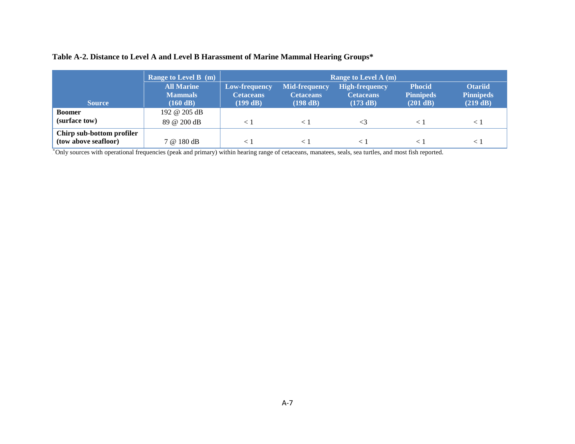| Table A-2. Distance to Level A and Level B Harassment of Marine Mammal Hearing Groups* |  |  |  |
|----------------------------------------------------------------------------------------|--|--|--|
|----------------------------------------------------------------------------------------|--|--|--|

|                           | <b>Range to Level B</b> (m)         | <b>Range to Level A (m)</b>       |                                          |                                           |                                   |                                    |
|---------------------------|-------------------------------------|-----------------------------------|------------------------------------------|-------------------------------------------|-----------------------------------|------------------------------------|
|                           | <b>All Marine</b><br><b>Mammals</b> | Low-frequency<br><b>Cetaceans</b> | <b>Mid-frequency</b><br><b>Cetaceans</b> | <b>High-frequency</b><br><b>Cetaceans</b> | <b>Phocid</b><br><b>Pinnipeds</b> | <b>Otariid</b><br><b>Pinnipeds</b> |
| <b>Source</b>             | (160 dB)                            | (199 dB)                          | (198 dB)                                 | (173 dB)                                  | (201 dB)                          | (219 dB)                           |
| <b>Boomer</b>             | 192 @ 205 dB                        |                                   |                                          |                                           |                                   |                                    |
| (surface tow)             | 89 @ 200 dB                         | $\lt$ 1                           |                                          |                                           |                                   | $\leq$                             |
| Chirp sub-bottom profiler |                                     |                                   |                                          |                                           |                                   |                                    |
| (tow above seafloor)      | 7 @ 180 dB                          | $<\,1$                            |                                          |                                           |                                   | $\lt$ .                            |

P \*POnly sources with operational frequencies (peak and primary) within hearing range of cetaceans, manatees, seals, sea turtles, and most fish reported.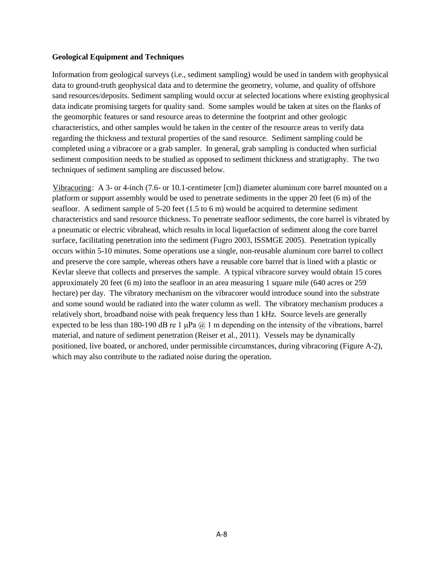#### **Geological Equipment and Techniques**

Information from geological surveys (i.e., sediment sampling) would be used in tandem with geophysical data to ground-truth geophysical data and to determine the geometry, volume, and quality of offshore sand resources/deposits. Sediment sampling would occur at selected locations where existing geophysical data indicate promising targets for quality sand. Some samples would be taken at sites on the flanks of the geomorphic features or sand resource areas to determine the footprint and other geologic characteristics, and other samples would be taken in the center of the resource areas to verify data regarding the thickness and textural properties of the sand resource. Sediment sampling could be completed using a vibracore or a grab sampler. In general, grab sampling is conducted when surficial sediment composition needs to be studied as opposed to sediment thickness and stratigraphy. The two techniques of sediment sampling are discussed below.

Vibracoring: A 3- or 4-inch (7.6- or 10.1-centimeter [cm]) diameter aluminum core barrel mounted on a platform or support assembly would be used to penetrate sediments in the upper 20 feet (6 m) of the seafloor. A sediment sample of 5-20 feet (1.5 to 6 m) would be acquired to determine sediment characteristics and sand resource thickness. To penetrate seafloor sediments, the core barrel is vibrated by a pneumatic or electric vibrahead, which results in local liquefaction of sediment along the core barrel surface, facilitating penetration into the sediment (Fugro 2003, ISSMGE 2005). Penetration typically occurs within 5-10 minutes. Some operations use a single, non-reusable aluminum core barrel to collect and preserve the core sample, whereas others have a reusable core barrel that is lined with a plastic or Kevlar sleeve that collects and preserves the sample. A typical vibracore survey would obtain 15 cores approximately 20 feet (6 m) into the seafloor in an area measuring 1 square mile (640 acres or 259 hectare) per day. The vibratory mechanism on the vibracorer would introduce sound into the substrate and some sound would be radiated into the water column as well. The vibratory mechanism produces a relatively short, broadband noise with peak frequency less than 1 kHz. Source levels are generally expected to be less than 180-190 dB re 1  $\mu$ Pa  $\omega$  1 m depending on the intensity of the vibrations, barrel material, and nature of sediment penetration (Reiser et al., 2011). Vessels may be dynamically positioned, live boated, or anchored, under permissible circumstances, during vibracoring (Figure A-2), which may also contribute to the radiated noise during the operation.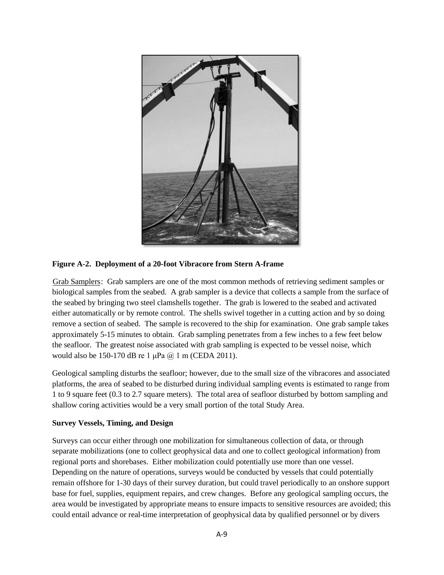

**Figure A-2. Deployment of a 20-foot Vibracore from Stern A-frame**

Grab Samplers: Grab samplers are one of the most common methods of retrieving sediment samples or biological samples from the seabed. A grab sampler is a device that collects a sample from the surface of the seabed by bringing two steel clamshells together. The grab is lowered to the seabed and activated either automatically or by remote control. The shells swivel together in a cutting action and by so doing remove a section of seabed. The sample is recovered to the ship for examination. One grab sample takes approximately 5-15 minutes to obtain. Grab sampling penetrates from a few inches to a few feet below the seafloor. The greatest noise associated with grab sampling is expected to be vessel noise, which would also be 150-170 dB re 1 μPa @ 1 m (CEDA 2011).

Geological sampling disturbs the seafloor; however, due to the small size of the vibracores and associated platforms, the area of seabed to be disturbed during individual sampling events is estimated to range from 1 to 9 square feet (0.3 to 2.7 square meters). The total area of seafloor disturbed by bottom sampling and shallow coring activities would be a very small portion of the total Study Area.

## **Survey Vessels, Timing, and Design**

Surveys can occur either through one mobilization for simultaneous collection of data, or through separate mobilizations (one to collect geophysical data and one to collect geological information) from regional ports and shorebases. Either mobilization could potentially use more than one vessel. Depending on the nature of operations, surveys would be conducted by vessels that could potentially remain offshore for 1-30 days of their survey duration, but could travel periodically to an onshore support base for fuel, supplies, equipment repairs, and crew changes. Before any geological sampling occurs, the area would be investigated by appropriate means to ensure impacts to sensitive resources are avoided; this could entail advance or real-time interpretation of geophysical data by qualified personnel or by divers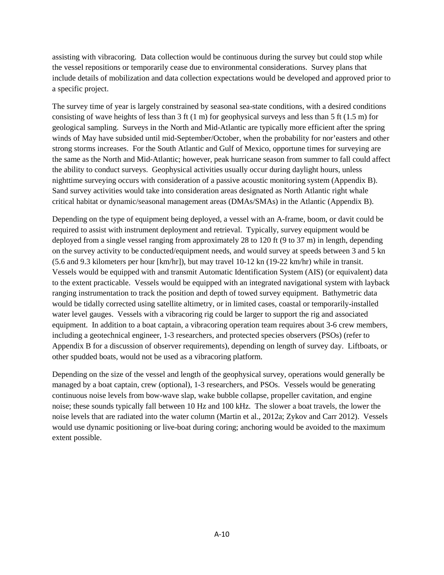assisting with vibracoring. Data collection would be continuous during the survey but could stop while the vessel repositions or temporarily cease due to environmental considerations. Survey plans that include details of mobilization and data collection expectations would be developed and approved prior to a specific project.

The survey time of year is largely constrained by seasonal sea-state conditions, with a desired conditions consisting of wave heights of less than 3 ft (1 m) for geophysical surveys and less than 5 ft (1.5 m) for geological sampling. Surveys in the North and Mid-Atlantic are typically more efficient after the spring winds of May have subsided until mid-September/October, when the probability for nor'easters and other strong storms increases. For the South Atlantic and Gulf of Mexico, opportune times for surveying are the same as the North and Mid-Atlantic; however, peak hurricane season from summer to fall could affect the ability to conduct surveys. Geophysical activities usually occur during daylight hours, unless nighttime surveying occurs with consideration of a passive acoustic monitoring system (Appendix B). Sand survey activities would take into consideration areas designated as North Atlantic right whale critical habitat or dynamic/seasonal management areas (DMAs/SMAs) in the Atlantic (Appendix B).

Depending on the type of equipment being deployed, a vessel with an A-frame, boom, or davit could be required to assist with instrument deployment and retrieval. Typically, survey equipment would be deployed from a single vessel ranging from approximately 28 to 120 ft (9 to 37 m) in length, depending on the survey activity to be conducted/equipment needs, and would survey at speeds between 3 and 5 kn (5.6 and 9.3 kilometers per hour [km/hr]), but may travel 10-12 kn (19-22 km/hr) while in transit. Vessels would be equipped with and transmit Automatic Identification System (AIS) (or equivalent) data to the extent practicable. Vessels would be equipped with an integrated navigational system with layback ranging instrumentation to track the position and depth of towed survey equipment. Bathymetric data would be tidally corrected using satellite altimetry, or in limited cases, coastal or temporarily-installed water level gauges. Vessels with a vibracoring rig could be larger to support the rig and associated equipment. In addition to a boat captain, a vibracoring operation team requires about 3-6 crew members, including a geotechnical engineer, 1-3 researchers, and protected species observers (PSOs) (refer to Appendix B for a discussion of observer requirements), depending on length of survey day. Liftboats, or other spudded boats, would not be used as a vibracoring platform.

Depending on the size of the vessel and length of the geophysical survey, operations would generally be managed by a boat captain, crew (optional), 1-3 researchers, and PSOs. Vessels would be generating continuous noise levels from bow-wave slap, wake bubble collapse, propeller cavitation, and engine noise; these sounds typically fall between 10 Hz and 100 kHz. The slower a boat travels, the lower the noise levels that are radiated into the water column (Martin et al., 2012a; Zykov and Carr 2012). Vessels would use dynamic positioning or live-boat during coring; anchoring would be avoided to the maximum extent possible.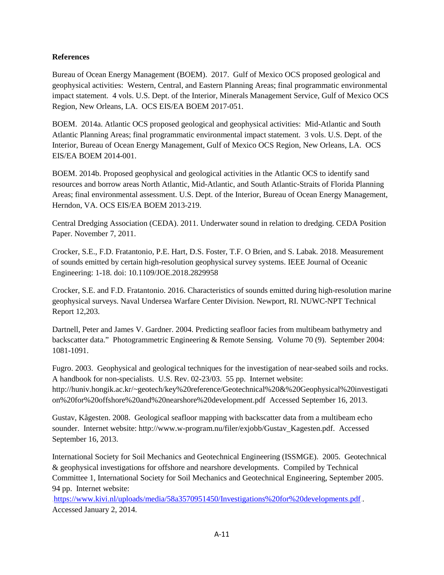### **References**

Bureau of Ocean Energy Management (BOEM). 2017. Gulf of Mexico OCS proposed geological and geophysical activities: Western, Central, and Eastern Planning Areas; final programmatic environmental impact statement. 4 vols. U.S. Dept. of the Interior, Minerals Management Service, Gulf of Mexico OCS Region, New Orleans, LA. OCS EIS/EA BOEM 2017-051.

BOEM. 2014a. Atlantic OCS proposed geological and geophysical activities: Mid-Atlantic and South Atlantic Planning Areas; final programmatic environmental impact statement. 3 vols. U.S. Dept. of the Interior, Bureau of Ocean Energy Management, Gulf of Mexico OCS Region, New Orleans, LA. OCS EIS/EA BOEM 2014-001.

BOEM. 2014b. Proposed geophysical and geological activities in the Atlantic OCS to identify sand resources and borrow areas North Atlantic, Mid-Atlantic, and South Atlantic-Straits of Florida Planning Areas; final environmental assessment. U.S. Dept. of the Interior, Bureau of Ocean Energy Management, Herndon, VA. OCS EIS/EA BOEM 2013-219.

Central Dredging Association (CEDA). 2011. Underwater sound in relation to dredging. CEDA Position Paper. November 7, 2011.

Crocker, S.E., F.D. Fratantonio, P.E. Hart, D.S. Foster, T.F. O Brien, and S. Labak. 2018. Measurement of sounds emitted by certain high-resolution geophysical survey systems. IEEE Journal of Oceanic Engineering: 1-18. doi: 10.1109/JOE.2018.2829958

Crocker, S.E. and F.D. Fratantonio. 2016. Characteristics of sounds emitted during high-resolution marine geophysical surveys. Naval Undersea Warfare Center Division. Newport, RI. NUWC-NPT Technical Report 12,203.

Dartnell, Peter and James V. Gardner. 2004. Predicting seafloor facies from multibeam bathymetry and backscatter data." Photogrammetric Engineering & Remote Sensing. Volume 70 (9). September 2004: 1081-1091.

Fugro. 2003. Geophysical and geological techniques for the investigation of near-seabed soils and rocks. A handbook for non-specialists. U.S. Rev. 02-23/03. 55 pp. Internet website: http://huniv.hongik.ac.kr/~geotech/key%20reference/Geotechnical%20&%20Geophysical%20investigati on%20for%20offshore%20and%20nearshore%20development.pdf Accessed September 16, 2013.

Gustav, Kågesten. 2008. Geological seafloor mapping with backscatter data from a multibeam echo sounder. Internet website: http://www.w-program.nu/filer/exjobb/Gustav\_Kagesten.pdf. Accessed September 16, 2013.

International Society for Soil Mechanics and Geotechnical Engineering (ISSMGE). 2005. Geotechnical & geophysical investigations for offshore and nearshore developments. Compiled by Technical Committee 1, International Society for Soil Mechanics and Geotechnical Engineering, September 2005. 94 pp. Internet website:

.https://www.kivi.nl/uploads/media/58a3570951450/Investigations%20for%20developments.pdf. Accessed January 2, 2014.